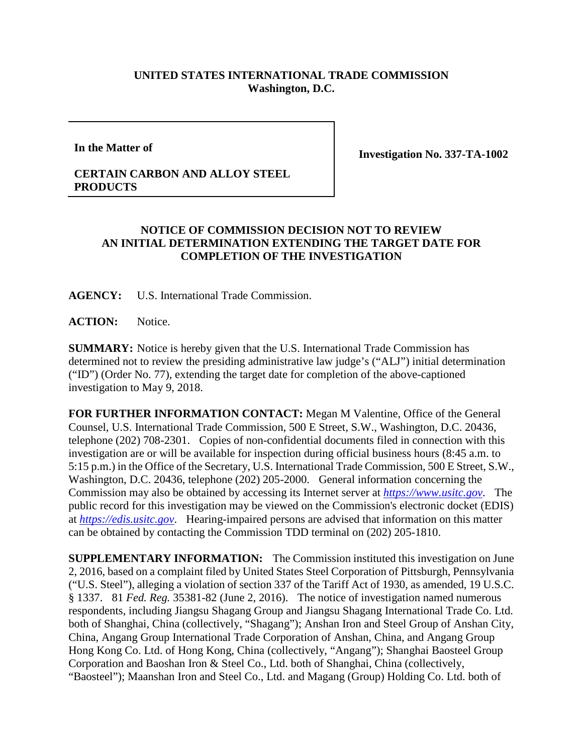## **UNITED STATES INTERNATIONAL TRADE COMMISSION Washington, D.C.**

**In the Matter of**

**Investigation No. 337-TA-1002**

## **CERTAIN CARBON AND ALLOY STEEL PRODUCTS**

## **NOTICE OF COMMISSION DECISION NOT TO REVIEW AN INITIAL DETERMINATION EXTENDING THE TARGET DATE FOR COMPLETION OF THE INVESTIGATION**

**AGENCY:** U.S. International Trade Commission.

**ACTION:** Notice.

**SUMMARY:** Notice is hereby given that the U.S. International Trade Commission has determined not to review the presiding administrative law judge's ("ALJ") initial determination ("ID") (Order No. 77), extending the target date for completion of the above-captioned investigation to May 9, 2018.

**FOR FURTHER INFORMATION CONTACT:** Megan M Valentine, Office of the General Counsel, U.S. International Trade Commission, 500 E Street, S.W., Washington, D.C. 20436, telephone (202) 708-2301. Copies of non-confidential documents filed in connection with this investigation are or will be available for inspection during official business hours (8:45 a.m. to 5:15 p.m.) in the Office of the Secretary, U.S. International Trade Commission, 500 E Street, S.W., Washington, D.C. 20436, telephone (202) 205-2000. General information concerning the Commission may also be obtained by accessing its Internet server at *[https://www.usitc.gov](https://www.usitc.gov/)*. The public record for this investigation may be viewed on the Commission's electronic docket (EDIS) at *[https://edis.usitc.gov](https://edis.usitc.gov/)*. Hearing-impaired persons are advised that information on this matter can be obtained by contacting the Commission TDD terminal on (202) 205-1810.

**SUPPLEMENTARY INFORMATION:** The Commission instituted this investigation on June 2, 2016, based on a complaint filed by United States Steel Corporation of Pittsburgh, Pennsylvania ("U.S. Steel"), alleging a violation of section 337 of the Tariff Act of 1930, as amended, 19 U.S.C. § 1337. 81 *Fed. Reg.* 35381-82 (June 2, 2016). The notice of investigation named numerous respondents, including Jiangsu Shagang Group and Jiangsu Shagang International Trade Co. Ltd. both of Shanghai, China (collectively, "Shagang"); Anshan Iron and Steel Group of Anshan City, China, Angang Group International Trade Corporation of Anshan, China, and Angang Group Hong Kong Co. Ltd. of Hong Kong, China (collectively, "Angang"); Shanghai Baosteel Group Corporation and Baoshan Iron & Steel Co., Ltd. both of Shanghai, China (collectively, "Baosteel"); Maanshan Iron and Steel Co., Ltd. and Magang (Group) Holding Co. Ltd. both of